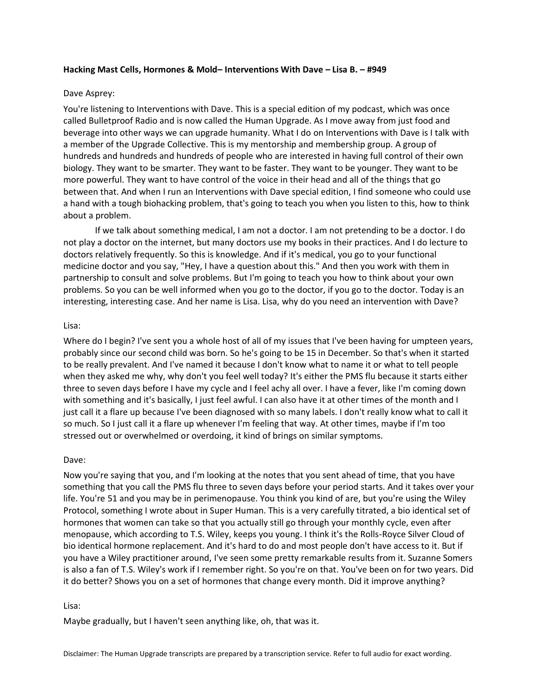# **Hacking Mast Cells, Hormones & Mold– Interventions With Dave – Lisa B. – #949**

# Dave Asprey:

You're listening to Interventions with Dave. This is a special edition of my podcast, which was once called Bulletproof Radio and is now called the Human Upgrade. As I move away from just food and beverage into other ways we can upgrade humanity. What I do on Interventions with Dave is I talk with a member of the Upgrade Collective. This is my mentorship and membership group. A group of hundreds and hundreds and hundreds of people who are interested in having full control of their own biology. They want to be smarter. They want to be faster. They want to be younger. They want to be more powerful. They want to have control of the voice in their head and all of the things that go between that. And when I run an Interventions with Dave special edition, I find someone who could use a hand with a tough biohacking problem, that's going to teach you when you listen to this, how to think about a problem.

If we talk about something medical, I am not a doctor. I am not pretending to be a doctor. I do not play a doctor on the internet, but many doctors use my books in their practices. And I do lecture to doctors relatively frequently. So this is knowledge. And if it's medical, you go to your functional medicine doctor and you say, "Hey, I have a question about this." And then you work with them in partnership to consult and solve problems. But I'm going to teach you how to think about your own problems. So you can be well informed when you go to the doctor, if you go to the doctor. Today is an interesting, interesting case. And her name is Lisa. Lisa, why do you need an intervention with Dave?

# Lisa:

Where do I begin? I've sent you a whole host of all of my issues that I've been having for umpteen years, probably since our second child was born. So he's going to be 15 in December. So that's when it started to be really prevalent. And I've named it because I don't know what to name it or what to tell people when they asked me why, why don't you feel well today? It's either the PMS flu because it starts either three to seven days before I have my cycle and I feel achy all over. I have a fever, like I'm coming down with something and it's basically, I just feel awful. I can also have it at other times of the month and I just call it a flare up because I've been diagnosed with so many labels. I don't really know what to call it so much. So I just call it a flare up whenever I'm feeling that way. At other times, maybe if I'm too stressed out or overwhelmed or overdoing, it kind of brings on similar symptoms.

## Dave:

Now you're saying that you, and I'm looking at the notes that you sent ahead of time, that you have something that you call the PMS flu three to seven days before your period starts. And it takes over your life. You're 51 and you may be in perimenopause. You think you kind of are, but you're using the Wiley Protocol, something I wrote about in Super Human. This is a very carefully titrated, a bio identical set of hormones that women can take so that you actually still go through your monthly cycle, even after menopause, which according to T.S. Wiley, keeps you young. I think it's the Rolls-Royce Silver Cloud of bio identical hormone replacement. And it's hard to do and most people don't have access to it. But if you have a Wiley practitioner around, I've seen some pretty remarkable results from it. Suzanne Somers is also a fan of T.S. Wiley's work if I remember right. So you're on that. You've been on for two years. Did it do better? Shows you on a set of hormones that change every month. Did it improve anything?

## Lisa:

Maybe gradually, but I haven't seen anything like, oh, that was it.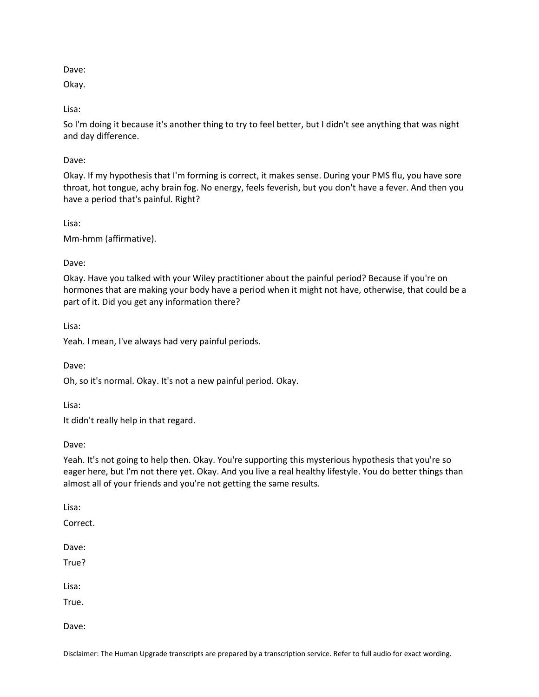Dave:

Okay.

Lisa:

So I'm doing it because it's another thing to try to feel better, but I didn't see anything that was night and day difference.

Dave:

Okay. If my hypothesis that I'm forming is correct, it makes sense. During your PMS flu, you have sore throat, hot tongue, achy brain fog. No energy, feels feverish, but you don't have a fever. And then you have a period that's painful. Right?

Lisa:

Mm-hmm (affirmative).

Dave:

Okay. Have you talked with your Wiley practitioner about the painful period? Because if you're on hormones that are making your body have a period when it might not have, otherwise, that could be a part of it. Did you get any information there?

Lisa:

Yeah. I mean, I've always had very painful periods.

Dave:

Oh, so it's normal. Okay. It's not a new painful period. Okay.

Lisa:

It didn't really help in that regard.

Dave:

Yeah. It's not going to help then. Okay. You're supporting this mysterious hypothesis that you're so eager here, but I'm not there yet. Okay. And you live a real healthy lifestyle. You do better things than almost all of your friends and you're not getting the same results.

Lisa:

Correct.

Dave:

True?

Lisa:

True.

Dave:

Disclaimer: The Human Upgrade transcripts are prepared by a transcription service. Refer to full audio for exact wording.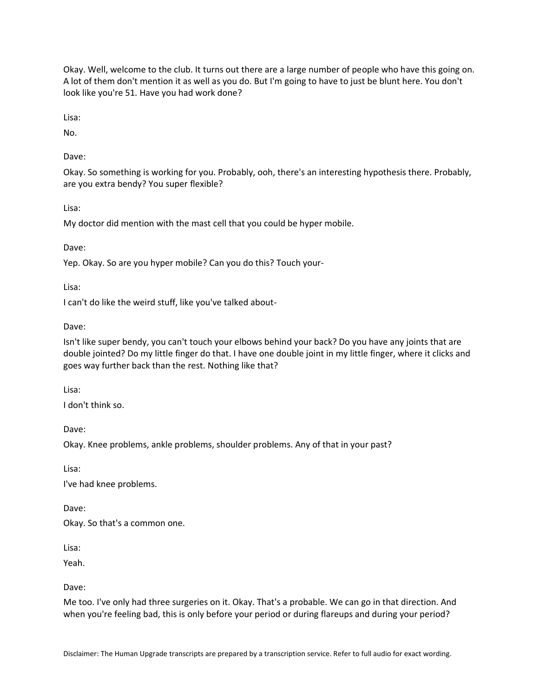Okay. Well, welcome to the club. It turns out there are a large number of people who have this going on. A lot of them don't mention it as well as you do. But I'm going to have to just be blunt here. You don't look like you're 51. Have you had work done?

Lisa:

No.

Dave:

Okay. So something is working for you. Probably, ooh, there's an interesting hypothesis there. Probably, are you extra bendy? You super flexible?

Lisa:

My doctor did mention with the mast cell that you could be hyper mobile.

Dave:

Yep. Okay. So are you hyper mobile? Can you do this? Touch your-

Lisa:

I can't do like the weird stuff, like you've talked about-

Dave:

Isn't like super bendy, you can't touch your elbows behind your back? Do you have any joints that are double jointed? Do my little finger do that. I have one double joint in my little finger, where it clicks and goes way further back than the rest. Nothing like that?

Lisa:

I don't think so.

Dave:

Okay. Knee problems, ankle problems, shoulder problems. Any of that in your past?

Lisa:

I've had knee problems.

Dave:

Okay. So that's a common one.

Lisa:

Yeah.

Dave:

Me too. I've only had three surgeries on it. Okay. That's a probable. We can go in that direction. And when you're feeling bad, this is only before your period or during flareups and during your period?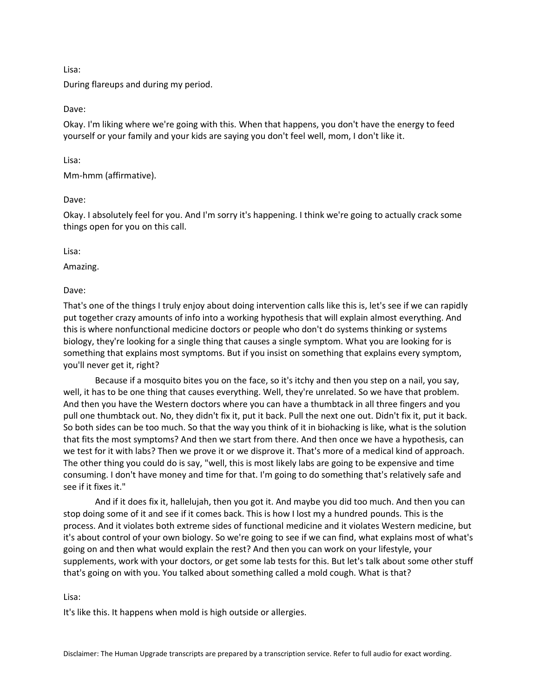#### Lisa:

During flareups and during my period.

# Dave:

Okay. I'm liking where we're going with this. When that happens, you don't have the energy to feed yourself or your family and your kids are saying you don't feel well, mom, I don't like it.

Lisa:

Mm-hmm (affirmative).

Dave:

Okay. I absolutely feel for you. And I'm sorry it's happening. I think we're going to actually crack some things open for you on this call.

Lisa:

Amazing.

Dave:

That's one of the things I truly enjoy about doing intervention calls like this is, let's see if we can rapidly put together crazy amounts of info into a working hypothesis that will explain almost everything. And this is where nonfunctional medicine doctors or people who don't do systems thinking or systems biology, they're looking for a single thing that causes a single symptom. What you are looking for is something that explains most symptoms. But if you insist on something that explains every symptom, you'll never get it, right?

Because if a mosquito bites you on the face, so it's itchy and then you step on a nail, you say, well, it has to be one thing that causes everything. Well, they're unrelated. So we have that problem. And then you have the Western doctors where you can have a thumbtack in all three fingers and you pull one thumbtack out. No, they didn't fix it, put it back. Pull the next one out. Didn't fix it, put it back. So both sides can be too much. So that the way you think of it in biohacking is like, what is the solution that fits the most symptoms? And then we start from there. And then once we have a hypothesis, can we test for it with labs? Then we prove it or we disprove it. That's more of a medical kind of approach. The other thing you could do is say, "well, this is most likely labs are going to be expensive and time consuming. I don't have money and time for that. I'm going to do something that's relatively safe and see if it fixes it."

And if it does fix it, hallelujah, then you got it. And maybe you did too much. And then you can stop doing some of it and see if it comes back. This is how I lost my a hundred pounds. This is the process. And it violates both extreme sides of functional medicine and it violates Western medicine, but it's about control of your own biology. So we're going to see if we can find, what explains most of what's going on and then what would explain the rest? And then you can work on your lifestyle, your supplements, work with your doctors, or get some lab tests for this. But let's talk about some other stuff that's going on with you. You talked about something called a mold cough. What is that?

## Lisa:

It's like this. It happens when mold is high outside or allergies.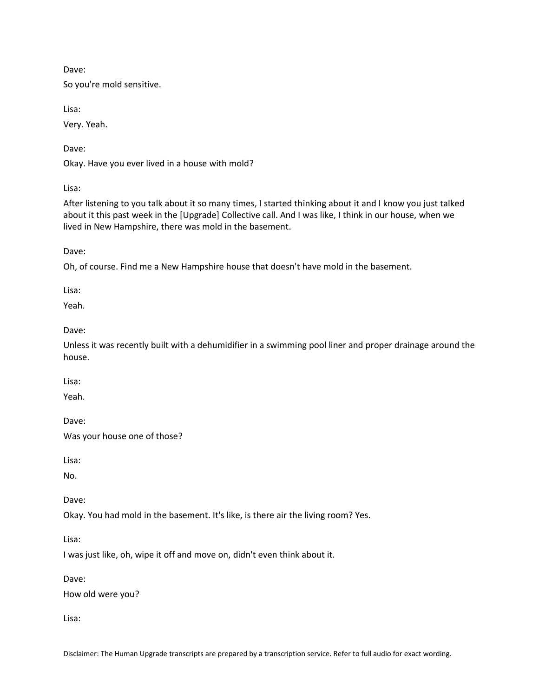Dave:

So you're mold sensitive.

Lisa:

Very. Yeah.

Dave:

Okay. Have you ever lived in a house with mold?

Lisa:

After listening to you talk about it so many times, I started thinking about it and I know you just talked about it this past week in the [Upgrade] Collective call. And I was like, I think in our house, when we lived in New Hampshire, there was mold in the basement.

Dave:

Oh, of course. Find me a New Hampshire house that doesn't have mold in the basement.

Lisa:

Yeah.

Dave:

Unless it was recently built with a dehumidifier in a swimming pool liner and proper drainage around the house.

Lisa:

Yeah.

Dave:

Was your house one of those?

Lisa:

No.

Dave:

Okay. You had mold in the basement. It's like, is there air the living room? Yes.

Lisa:

I was just like, oh, wipe it off and move on, didn't even think about it.

Dave:

How old were you?

Lisa: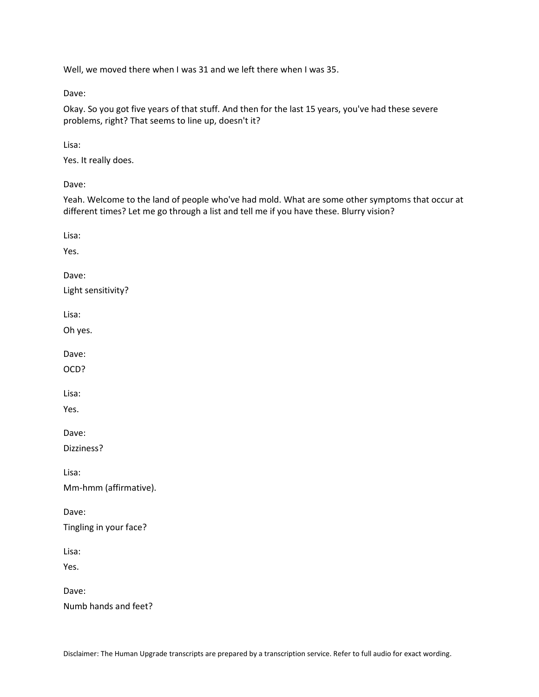Well, we moved there when I was 31 and we left there when I was 35.

Dave:

Okay. So you got five years of that stuff. And then for the last 15 years, you've had these severe problems, right? That seems to line up, doesn't it?

Lisa:

Yes. It really does.

Dave:

Yeah. Welcome to the land of people who've had mold. What are some other symptoms that occur at different times? Let me go through a list and tell me if you have these. Blurry vision?

Lisa: Yes. Dave: Light sensitivity? Lisa: Oh yes. Dave: OCD? Lisa: Yes. Dave: Dizziness? Lisa: Mm-hmm (affirmative). Dave: Tingling in your face? Lisa: Yes. Dave: Numb hands and feet?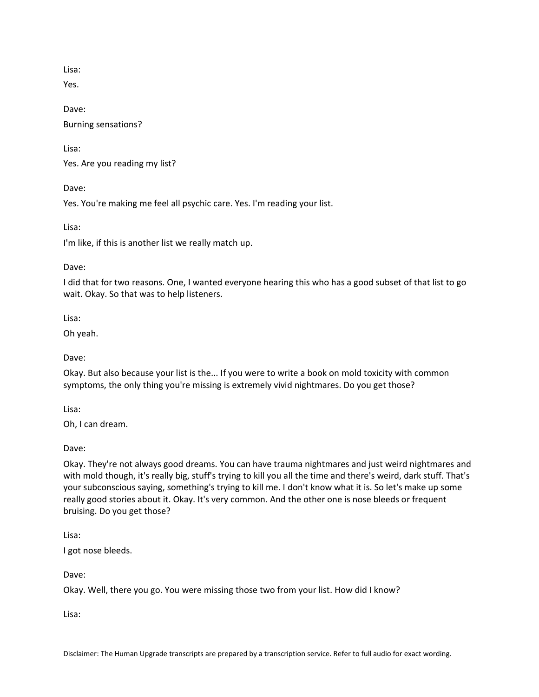Lisa:

Yes.

Dave: Burning sensations?

Lisa:

Yes. Are you reading my list?

Dave:

Yes. You're making me feel all psychic care. Yes. I'm reading your list.

Lisa:

I'm like, if this is another list we really match up.

Dave:

I did that for two reasons. One, I wanted everyone hearing this who has a good subset of that list to go wait. Okay. So that was to help listeners.

Lisa:

Oh yeah.

Dave:

Okay. But also because your list is the... If you were to write a book on mold toxicity with common symptoms, the only thing you're missing is extremely vivid nightmares. Do you get those?

Lisa:

Oh, I can dream.

Dave:

Okay. They're not always good dreams. You can have trauma nightmares and just weird nightmares and with mold though, it's really big, stuff's trying to kill you all the time and there's weird, dark stuff. That's your subconscious saying, something's trying to kill me. I don't know what it is. So let's make up some really good stories about it. Okay. It's very common. And the other one is nose bleeds or frequent bruising. Do you get those?

Lisa:

I got nose bleeds.

Dave:

Okay. Well, there you go. You were missing those two from your list. How did I know?

Lisa: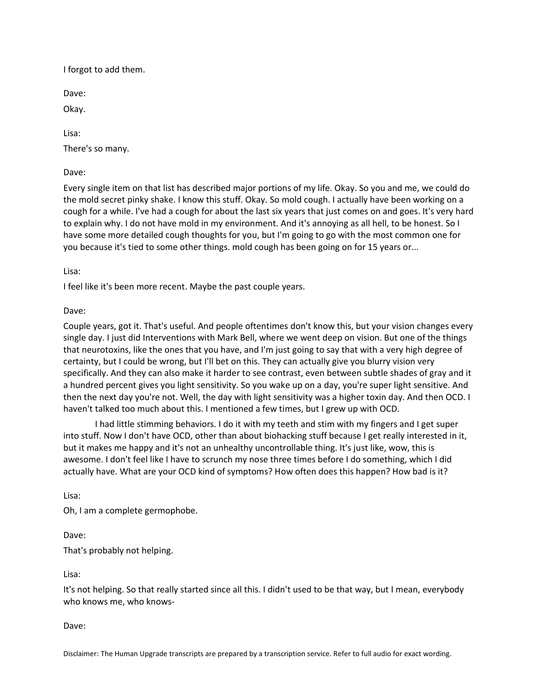I forgot to add them.

Dave:

Okay.

Lisa:

There's so many.

Dave:

Every single item on that list has described major portions of my life. Okay. So you and me, we could do the mold secret pinky shake. I know this stuff. Okay. So mold cough. I actually have been working on a cough for a while. I've had a cough for about the last six years that just comes on and goes. It's very hard to explain why. I do not have mold in my environment. And it's annoying as all hell, to be honest. So I have some more detailed cough thoughts for you, but I'm going to go with the most common one for you because it's tied to some other things. mold cough has been going on for 15 years or...

Lisa:

I feel like it's been more recent. Maybe the past couple years.

Dave:

Couple years, got it. That's useful. And people oftentimes don't know this, but your vision changes every single day. I just did Interventions with Mark Bell, where we went deep on vision. But one of the things that neurotoxins, like the ones that you have, and I'm just going to say that with a very high degree of certainty, but I could be wrong, but I'll bet on this. They can actually give you blurry vision very specifically. And they can also make it harder to see contrast, even between subtle shades of gray and it a hundred percent gives you light sensitivity. So you wake up on a day, you're super light sensitive. And then the next day you're not. Well, the day with light sensitivity was a higher toxin day. And then OCD. I haven't talked too much about this. I mentioned a few times, but I grew up with OCD.

I had little stimming behaviors. I do it with my teeth and stim with my fingers and I get super into stuff. Now I don't have OCD, other than about biohacking stuff because I get really interested in it, but it makes me happy and it's not an unhealthy uncontrollable thing. It's just like, wow, this is awesome. I don't feel like I have to scrunch my nose three times before I do something, which I did actually have. What are your OCD kind of symptoms? How often does this happen? How bad is it?

Lisa:

Oh, I am a complete germophobe.

Dave:

That's probably not helping.

Lisa:

It's not helping. So that really started since all this. I didn't used to be that way, but I mean, everybody who knows me, who knows-

Dave:

Disclaimer: The Human Upgrade transcripts are prepared by a transcription service. Refer to full audio for exact wording.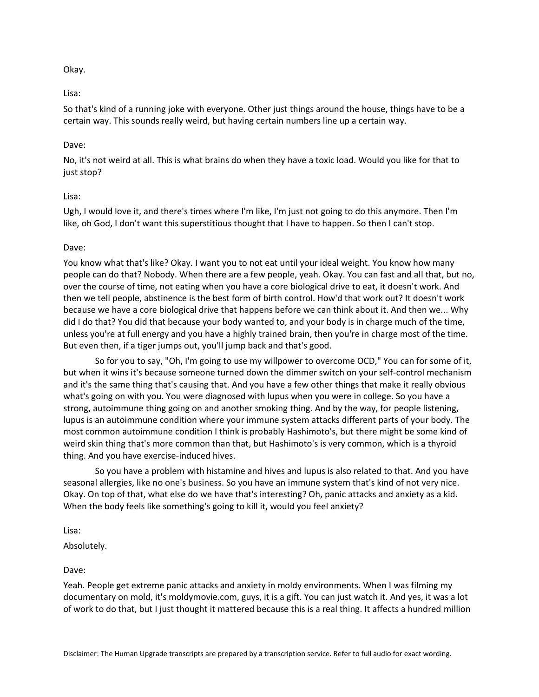# Okay.

# Lisa:

So that's kind of a running joke with everyone. Other just things around the house, things have to be a certain way. This sounds really weird, but having certain numbers line up a certain way.

# Dave:

No, it's not weird at all. This is what brains do when they have a toxic load. Would you like for that to just stop?

# Lisa:

Ugh, I would love it, and there's times where I'm like, I'm just not going to do this anymore. Then I'm like, oh God, I don't want this superstitious thought that I have to happen. So then I can't stop.

# Dave:

You know what that's like? Okay. I want you to not eat until your ideal weight. You know how many people can do that? Nobody. When there are a few people, yeah. Okay. You can fast and all that, but no, over the course of time, not eating when you have a core biological drive to eat, it doesn't work. And then we tell people, abstinence is the best form of birth control. How'd that work out? It doesn't work because we have a core biological drive that happens before we can think about it. And then we... Why did I do that? You did that because your body wanted to, and your body is in charge much of the time, unless you're at full energy and you have a highly trained brain, then you're in charge most of the time. But even then, if a tiger jumps out, you'll jump back and that's good.

So for you to say, "Oh, I'm going to use my willpower to overcome OCD," You can for some of it, but when it wins it's because someone turned down the dimmer switch on your self-control mechanism and it's the same thing that's causing that. And you have a few other things that make it really obvious what's going on with you. You were diagnosed with lupus when you were in college. So you have a strong, autoimmune thing going on and another smoking thing. And by the way, for people listening, lupus is an autoimmune condition where your immune system attacks different parts of your body. The most common autoimmune condition I think is probably Hashimoto's, but there might be some kind of weird skin thing that's more common than that, but Hashimoto's is very common, which is a thyroid thing. And you have exercise-induced hives.

So you have a problem with histamine and hives and lupus is also related to that. And you have seasonal allergies, like no one's business. So you have an immune system that's kind of not very nice. Okay. On top of that, what else do we have that's interesting? Oh, panic attacks and anxiety as a kid. When the body feels like something's going to kill it, would you feel anxiety?

Lisa:

Absolutely.

Dave:

Yeah. People get extreme panic attacks and anxiety in moldy environments. When I was filming my documentary on mold, it's moldymovie.com, guys, it is a gift. You can just watch it. And yes, it was a lot of work to do that, but I just thought it mattered because this is a real thing. It affects a hundred million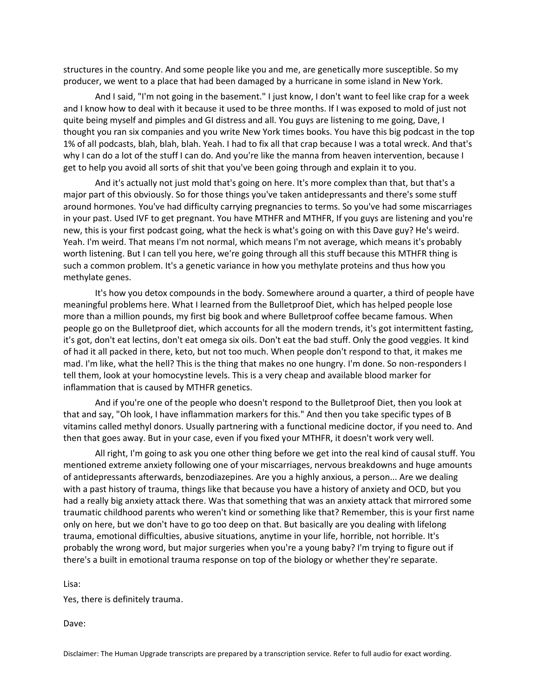structures in the country. And some people like you and me, are genetically more susceptible. So my producer, we went to a place that had been damaged by a hurricane in some island in New York.

And I said, "I'm not going in the basement." I just know, I don't want to feel like crap for a week and I know how to deal with it because it used to be three months. If I was exposed to mold of just not quite being myself and pimples and GI distress and all. You guys are listening to me going, Dave, I thought you ran six companies and you write New York times books. You have this big podcast in the top 1% of all podcasts, blah, blah, blah. Yeah. I had to fix all that crap because I was a total wreck. And that's why I can do a lot of the stuff I can do. And you're like the manna from heaven intervention, because I get to help you avoid all sorts of shit that you've been going through and explain it to you.

And it's actually not just mold that's going on here. It's more complex than that, but that's a major part of this obviously. So for those things you've taken antidepressants and there's some stuff around hormones. You've had difficulty carrying pregnancies to terms. So you've had some miscarriages in your past. Used IVF to get pregnant. You have MTHFR and MTHFR, If you guys are listening and you're new, this is your first podcast going, what the heck is what's going on with this Dave guy? He's weird. Yeah. I'm weird. That means I'm not normal, which means I'm not average, which means it's probably worth listening. But I can tell you here, we're going through all this stuff because this MTHFR thing is such a common problem. It's a genetic variance in how you methylate proteins and thus how you methylate genes.

It's how you detox compounds in the body. Somewhere around a quarter, a third of people have meaningful problems here. What I learned from the Bulletproof Diet, which has helped people lose more than a million pounds, my first big book and where Bulletproof coffee became famous. When people go on the Bulletproof diet, which accounts for all the modern trends, it's got intermittent fasting, it's got, don't eat lectins, don't eat omega six oils. Don't eat the bad stuff. Only the good veggies. It kind of had it all packed in there, keto, but not too much. When people don't respond to that, it makes me mad. I'm like, what the hell? This is the thing that makes no one hungry. I'm done. So non-responders I tell them, look at your homocystine levels. This is a very cheap and available blood marker for inflammation that is caused by MTHFR genetics.

And if you're one of the people who doesn't respond to the Bulletproof Diet, then you look at that and say, "Oh look, I have inflammation markers for this." And then you take specific types of B vitamins called methyl donors. Usually partnering with a functional medicine doctor, if you need to. And then that goes away. But in your case, even if you fixed your MTHFR, it doesn't work very well.

All right, I'm going to ask you one other thing before we get into the real kind of causal stuff. You mentioned extreme anxiety following one of your miscarriages, nervous breakdowns and huge amounts of antidepressants afterwards, benzodiazepines. Are you a highly anxious, a person... Are we dealing with a past history of trauma, things like that because you have a history of anxiety and OCD, but you had a really big anxiety attack there. Was that something that was an anxiety attack that mirrored some traumatic childhood parents who weren't kind or something like that? Remember, this is your first name only on here, but we don't have to go too deep on that. But basically are you dealing with lifelong trauma, emotional difficulties, abusive situations, anytime in your life, horrible, not horrible. It's probably the wrong word, but major surgeries when you're a young baby? I'm trying to figure out if there's a built in emotional trauma response on top of the biology or whether they're separate.

Lisa:

Yes, there is definitely trauma.

Dave: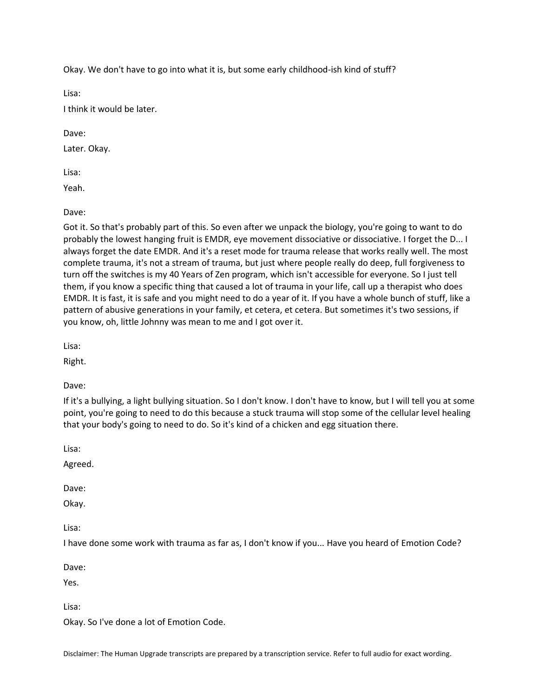Okay. We don't have to go into what it is, but some early childhood-ish kind of stuff?

Lisa:

I think it would be later.

Dave:

Later. Okay.

Lisa:

Yeah.

Dave:

Got it. So that's probably part of this. So even after we unpack the biology, you're going to want to do probably the lowest hanging fruit is EMDR, eye movement dissociative or dissociative. I forget the D... I always forget the date EMDR. And it's a reset mode for trauma release that works really well. The most complete trauma, it's not a stream of trauma, but just where people really do deep, full forgiveness to turn off the switches is my 40 Years of Zen program, which isn't accessible for everyone. So I just tell them, if you know a specific thing that caused a lot of trauma in your life, call up a therapist who does EMDR. It is fast, it is safe and you might need to do a year of it. If you have a whole bunch of stuff, like a pattern of abusive generations in your family, et cetera, et cetera. But sometimes it's two sessions, if you know, oh, little Johnny was mean to me and I got over it.

Lisa:

Right.

Dave:

If it's a bullying, a light bullying situation. So I don't know. I don't have to know, but I will tell you at some point, you're going to need to do this because a stuck trauma will stop some of the cellular level healing that your body's going to need to do. So it's kind of a chicken and egg situation there.

Lisa:

Agreed.

Dave:

Okay.

Lisa:

I have done some work with trauma as far as, I don't know if you... Have you heard of Emotion Code?

Dave:

Yes.

Lisa:

Okay. So I've done a lot of Emotion Code.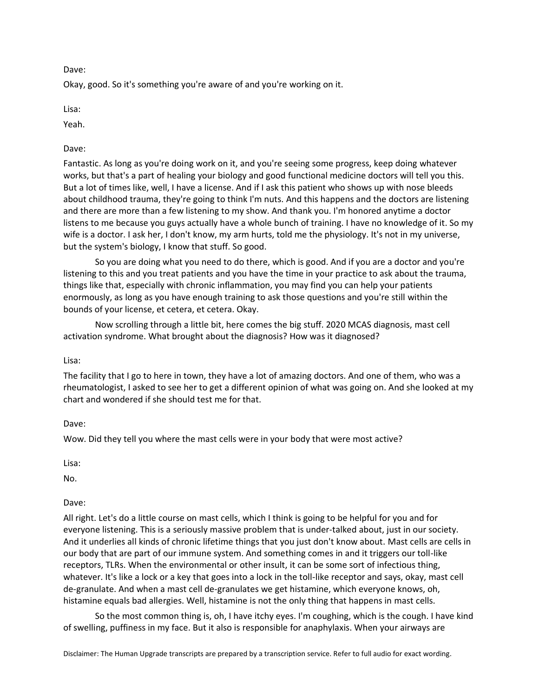Dave:

Okay, good. So it's something you're aware of and you're working on it.

Lisa:

Yeah.

Dave:

Fantastic. As long as you're doing work on it, and you're seeing some progress, keep doing whatever works, but that's a part of healing your biology and good functional medicine doctors will tell you this. But a lot of times like, well, I have a license. And if I ask this patient who shows up with nose bleeds about childhood trauma, they're going to think I'm nuts. And this happens and the doctors are listening and there are more than a few listening to my show. And thank you. I'm honored anytime a doctor listens to me because you guys actually have a whole bunch of training. I have no knowledge of it. So my wife is a doctor. I ask her, I don't know, my arm hurts, told me the physiology. It's not in my universe, but the system's biology, I know that stuff. So good.

So you are doing what you need to do there, which is good. And if you are a doctor and you're listening to this and you treat patients and you have the time in your practice to ask about the trauma, things like that, especially with chronic inflammation, you may find you can help your patients enormously, as long as you have enough training to ask those questions and you're still within the bounds of your license, et cetera, et cetera. Okay.

Now scrolling through a little bit, here comes the big stuff. 2020 MCAS diagnosis, mast cell activation syndrome. What brought about the diagnosis? How was it diagnosed?

Lisa:

The facility that I go to here in town, they have a lot of amazing doctors. And one of them, who was a rheumatologist, I asked to see her to get a different opinion of what was going on. And she looked at my chart and wondered if she should test me for that.

Dave:

Wow. Did they tell you where the mast cells were in your body that were most active?

Lisa:

No.

Dave:

All right. Let's do a little course on mast cells, which I think is going to be helpful for you and for everyone listening. This is a seriously massive problem that is under-talked about, just in our society. And it underlies all kinds of chronic lifetime things that you just don't know about. Mast cells are cells in our body that are part of our immune system. And something comes in and it triggers our toll-like receptors, TLRs. When the environmental or other insult, it can be some sort of infectious thing, whatever. It's like a lock or a key that goes into a lock in the toll-like receptor and says, okay, mast cell de-granulate. And when a mast cell de-granulates we get histamine, which everyone knows, oh, histamine equals bad allergies. Well, histamine is not the only thing that happens in mast cells.

So the most common thing is, oh, I have itchy eyes. I'm coughing, which is the cough. I have kind of swelling, puffiness in my face. But it also is responsible for anaphylaxis. When your airways are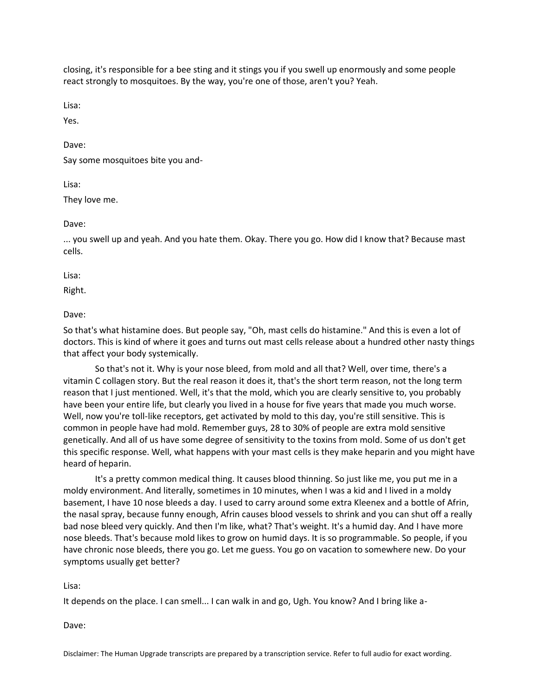closing, it's responsible for a bee sting and it stings you if you swell up enormously and some people react strongly to mosquitoes. By the way, you're one of those, aren't you? Yeah.

Lisa:

Yes.

Dave:

Say some mosquitoes bite you and-

Lisa:

They love me.

Dave:

... you swell up and yeah. And you hate them. Okay. There you go. How did I know that? Because mast cells.

Lisa:

Right.

Dave:

So that's what histamine does. But people say, "Oh, mast cells do histamine." And this is even a lot of doctors. This is kind of where it goes and turns out mast cells release about a hundred other nasty things that affect your body systemically.

So that's not it. Why is your nose bleed, from mold and all that? Well, over time, there's a vitamin C collagen story. But the real reason it does it, that's the short term reason, not the long term reason that I just mentioned. Well, it's that the mold, which you are clearly sensitive to, you probably have been your entire life, but clearly you lived in a house for five years that made you much worse. Well, now you're toll-like receptors, get activated by mold to this day, you're still sensitive. This is common in people have had mold. Remember guys, 28 to 30% of people are extra mold sensitive genetically. And all of us have some degree of sensitivity to the toxins from mold. Some of us don't get this specific response. Well, what happens with your mast cells is they make heparin and you might have heard of heparin.

It's a pretty common medical thing. It causes blood thinning. So just like me, you put me in a moldy environment. And literally, sometimes in 10 minutes, when I was a kid and I lived in a moldy basement, I have 10 nose bleeds a day. I used to carry around some extra Kleenex and a bottle of Afrin, the nasal spray, because funny enough, Afrin causes blood vessels to shrink and you can shut off a really bad nose bleed very quickly. And then I'm like, what? That's weight. It's a humid day. And I have more nose bleeds. That's because mold likes to grow on humid days. It is so programmable. So people, if you have chronic nose bleeds, there you go. Let me guess. You go on vacation to somewhere new. Do your symptoms usually get better?

Lisa:

It depends on the place. I can smell... I can walk in and go, Ugh. You know? And I bring like a-

Dave: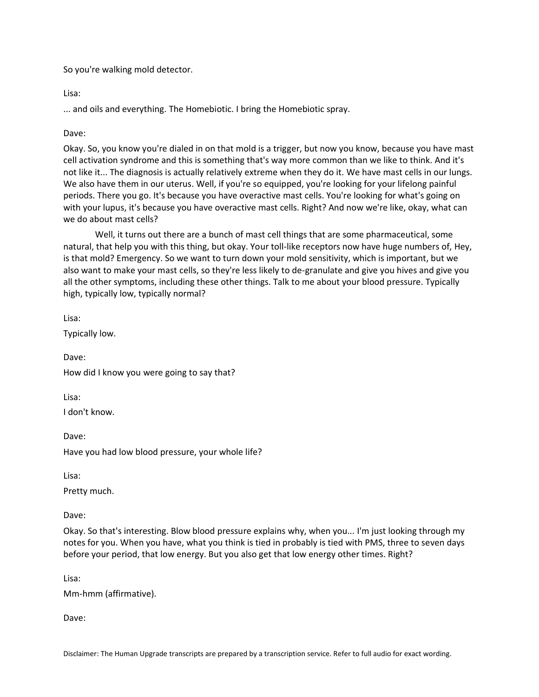So you're walking mold detector.

Lisa:

... and oils and everything. The Homebiotic. I bring the Homebiotic spray.

# Dave:

Okay. So, you know you're dialed in on that mold is a trigger, but now you know, because you have mast cell activation syndrome and this is something that's way more common than we like to think. And it's not like it... The diagnosis is actually relatively extreme when they do it. We have mast cells in our lungs. We also have them in our uterus. Well, if you're so equipped, you're looking for your lifelong painful periods. There you go. It's because you have overactive mast cells. You're looking for what's going on with your lupus, it's because you have overactive mast cells. Right? And now we're like, okay, what can we do about mast cells?

Well, it turns out there are a bunch of mast cell things that are some pharmaceutical, some natural, that help you with this thing, but okay. Your toll-like receptors now have huge numbers of, Hey, is that mold? Emergency. So we want to turn down your mold sensitivity, which is important, but we also want to make your mast cells, so they're less likely to de-granulate and give you hives and give you all the other symptoms, including these other things. Talk to me about your blood pressure. Typically high, typically low, typically normal?

Lisa:

Typically low.

Dave: How did I know you were going to say that?

Lisa:

I don't know.

Dave: Have you had low blood pressure, your whole life?

Lisa:

Pretty much.

Dave:

Okay. So that's interesting. Blow blood pressure explains why, when you... I'm just looking through my notes for you. When you have, what you think is tied in probably is tied with PMS, three to seven days before your period, that low energy. But you also get that low energy other times. Right?

Lisa:

Mm-hmm (affirmative).

Dave: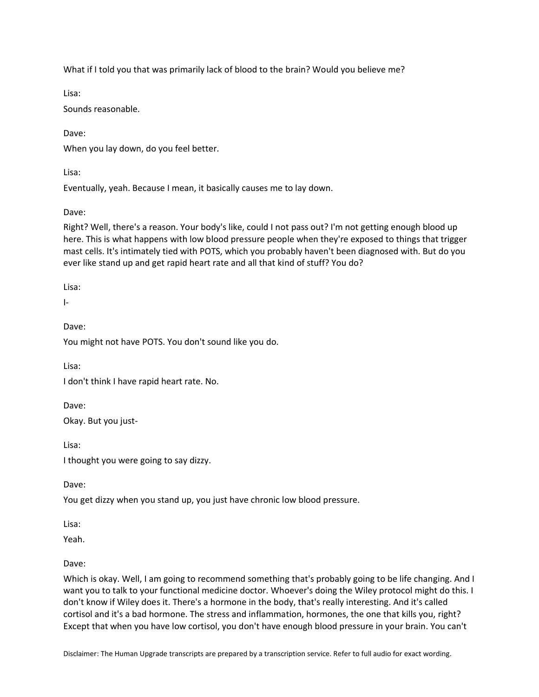What if I told you that was primarily lack of blood to the brain? Would you believe me?

Lisa:

Sounds reasonable.

Dave:

When you lay down, do you feel better.

Lisa:

Eventually, yeah. Because I mean, it basically causes me to lay down.

Dave:

Right? Well, there's a reason. Your body's like, could I not pass out? I'm not getting enough blood up here. This is what happens with low blood pressure people when they're exposed to things that trigger mast cells. It's intimately tied with POTS, which you probably haven't been diagnosed with. But do you ever like stand up and get rapid heart rate and all that kind of stuff? You do?

Lisa:

I-

Dave:

You might not have POTS. You don't sound like you do.

Lisa:

I don't think I have rapid heart rate. No.

Dave:

Okay. But you just-

Lisa:

I thought you were going to say dizzy.

Dave:

You get dizzy when you stand up, you just have chronic low blood pressure.

Lisa:

Yeah.

Dave:

Which is okay. Well, I am going to recommend something that's probably going to be life changing. And I want you to talk to your functional medicine doctor. Whoever's doing the Wiley protocol might do this. I don't know if Wiley does it. There's a hormone in the body, that's really interesting. And it's called cortisol and it's a bad hormone. The stress and inflammation, hormones, the one that kills you, right? Except that when you have low cortisol, you don't have enough blood pressure in your brain. You can't

Disclaimer: The Human Upgrade transcripts are prepared by a transcription service. Refer to full audio for exact wording.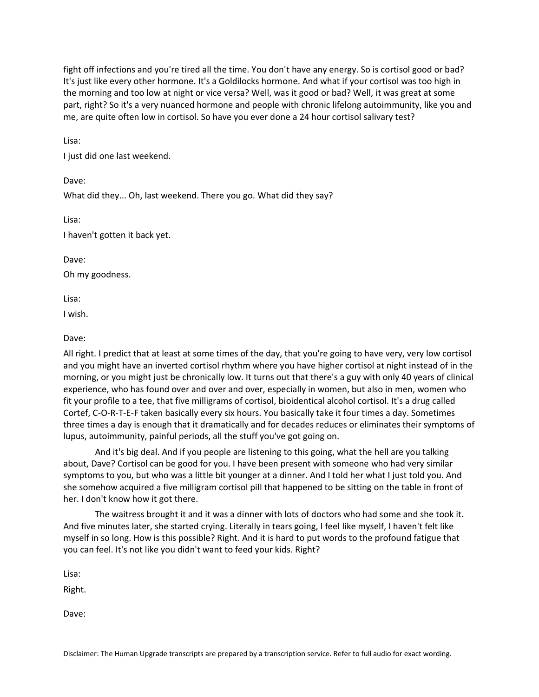fight off infections and you're tired all the time. You don't have any energy. So is cortisol good or bad? It's just like every other hormone. It's a Goldilocks hormone. And what if your cortisol was too high in the morning and too low at night or vice versa? Well, was it good or bad? Well, it was great at some part, right? So it's a very nuanced hormone and people with chronic lifelong autoimmunity, like you and me, are quite often low in cortisol. So have you ever done a 24 hour cortisol salivary test?

Lisa:

I just did one last weekend.

What did they... Oh, last weekend. There you go. What did they say?

Lisa:

Dave:

I haven't gotten it back yet.

Dave:

Oh my goodness.

Lisa:

I wish.

# Dave:

All right. I predict that at least at some times of the day, that you're going to have very, very low cortisol and you might have an inverted cortisol rhythm where you have higher cortisol at night instead of in the morning, or you might just be chronically low. It turns out that there's a guy with only 40 years of clinical experience, who has found over and over and over, especially in women, but also in men, women who fit your profile to a tee, that five milligrams of cortisol, bioidentical alcohol cortisol. It's a drug called Cortef, C-O-R-T-E-F taken basically every six hours. You basically take it four times a day. Sometimes three times a day is enough that it dramatically and for decades reduces or eliminates their symptoms of lupus, autoimmunity, painful periods, all the stuff you've got going on.

And it's big deal. And if you people are listening to this going, what the hell are you talking about, Dave? Cortisol can be good for you. I have been present with someone who had very similar symptoms to you, but who was a little bit younger at a dinner. And I told her what I just told you. And she somehow acquired a five milligram cortisol pill that happened to be sitting on the table in front of her. I don't know how it got there.

The waitress brought it and it was a dinner with lots of doctors who had some and she took it. And five minutes later, she started crying. Literally in tears going, I feel like myself, I haven't felt like myself in so long. How is this possible? Right. And it is hard to put words to the profound fatigue that you can feel. It's not like you didn't want to feed your kids. Right?

Lisa:

Right.

Dave: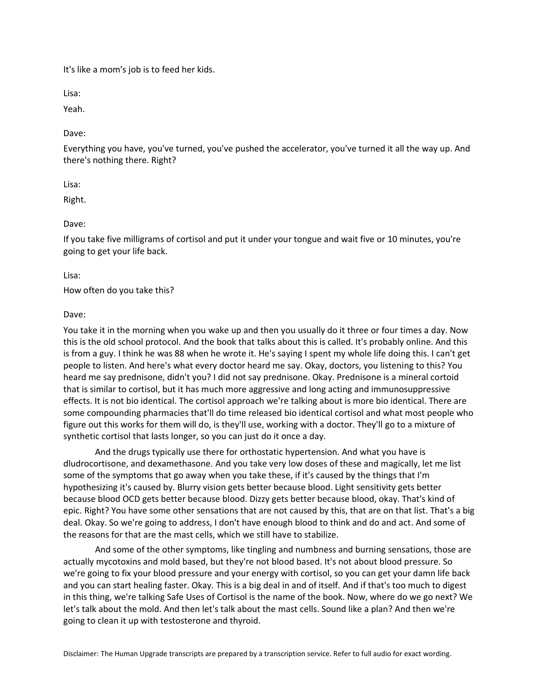It's like a mom's job is to feed her kids.

Lisa:

Yeah.

Dave:

Everything you have, you've turned, you've pushed the accelerator, you've turned it all the way up. And there's nothing there. Right?

Lisa:

Right.

Dave:

If you take five milligrams of cortisol and put it under your tongue and wait five or 10 minutes, you're going to get your life back.

Lisa:

How often do you take this?

Dave:

You take it in the morning when you wake up and then you usually do it three or four times a day. Now this is the old school protocol. And the book that talks about this is called. It's probably online. And this is from a guy. I think he was 88 when he wrote it. He's saying I spent my whole life doing this. I can't get people to listen. And here's what every doctor heard me say. Okay, doctors, you listening to this? You heard me say prednisone, didn't you? I did not say prednisone. Okay. Prednisone is a mineral cortoid that is similar to cortisol, but it has much more aggressive and long acting and immunosuppressive effects. It is not bio identical. The cortisol approach we're talking about is more bio identical. There are some compounding pharmacies that'll do time released bio identical cortisol and what most people who figure out this works for them will do, is they'll use, working with a doctor. They'll go to a mixture of synthetic cortisol that lasts longer, so you can just do it once a day.

And the drugs typically use there for orthostatic hypertension. And what you have is dludrocortisone, and dexamethasone. And you take very low doses of these and magically, let me list some of the symptoms that go away when you take these, if it's caused by the things that I'm hypothesizing it's caused by. Blurry vision gets better because blood. Light sensitivity gets better because blood OCD gets better because blood. Dizzy gets better because blood, okay. That's kind of epic. Right? You have some other sensations that are not caused by this, that are on that list. That's a big deal. Okay. So we're going to address, I don't have enough blood to think and do and act. And some of the reasons for that are the mast cells, which we still have to stabilize.

And some of the other symptoms, like tingling and numbness and burning sensations, those are actually mycotoxins and mold based, but they're not blood based. It's not about blood pressure. So we're going to fix your blood pressure and your energy with cortisol, so you can get your damn life back and you can start healing faster. Okay. This is a big deal in and of itself. And if that's too much to digest in this thing, we're talking Safe Uses of Cortisol is the name of the book. Now, where do we go next? We let's talk about the mold. And then let's talk about the mast cells. Sound like a plan? And then we're going to clean it up with testosterone and thyroid.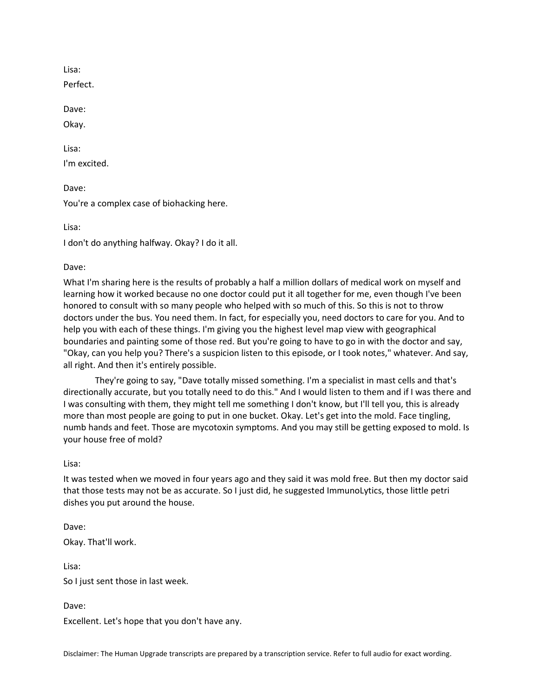Lisa:

Perfect.

Dave:

Okay.

Lisa:

I'm excited.

Dave:

You're a complex case of biohacking here.

Lisa:

I don't do anything halfway. Okay? I do it all.

# Dave:

What I'm sharing here is the results of probably a half a million dollars of medical work on myself and learning how it worked because no one doctor could put it all together for me, even though I've been honored to consult with so many people who helped with so much of this. So this is not to throw doctors under the bus. You need them. In fact, for especially you, need doctors to care for you. And to help you with each of these things. I'm giving you the highest level map view with geographical boundaries and painting some of those red. But you're going to have to go in with the doctor and say, "Okay, can you help you? There's a suspicion listen to this episode, or I took notes," whatever. And say, all right. And then it's entirely possible.

They're going to say, "Dave totally missed something. I'm a specialist in mast cells and that's directionally accurate, but you totally need to do this." And I would listen to them and if I was there and I was consulting with them, they might tell me something I don't know, but I'll tell you, this is already more than most people are going to put in one bucket. Okay. Let's get into the mold. Face tingling, numb hands and feet. Those are mycotoxin symptoms. And you may still be getting exposed to mold. Is your house free of mold?

Lisa:

It was tested when we moved in four years ago and they said it was mold free. But then my doctor said that those tests may not be as accurate. So I just did, he suggested ImmunoLytics, those little petri dishes you put around the house.

Dave: Okay. That'll work. Lisa:

So I just sent those in last week.

Dave:

Excellent. Let's hope that you don't have any.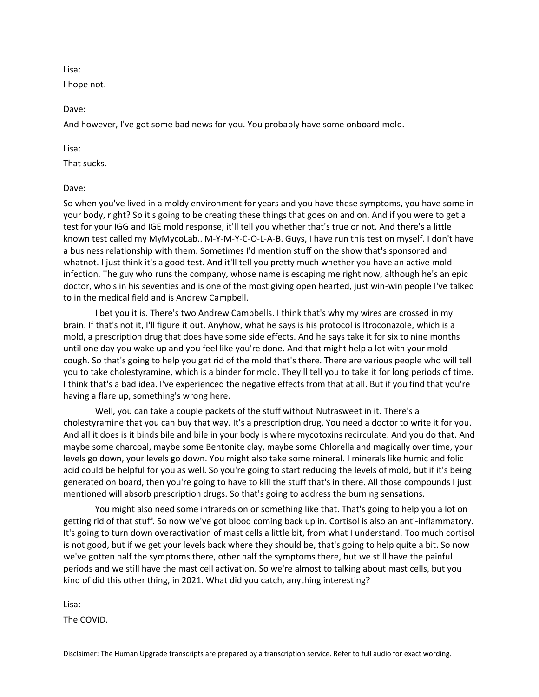Lisa:

I hope not.

Dave:

And however, I've got some bad news for you. You probably have some onboard mold.

Lisa:

That sucks.

Dave:

So when you've lived in a moldy environment for years and you have these symptoms, you have some in your body, right? So it's going to be creating these things that goes on and on. And if you were to get a test for your IGG and IGE mold response, it'll tell you whether that's true or not. And there's a little known test called my MyMycoLab.. M-Y-M-Y-C-O-L-A-B. Guys, I have run this test on myself. I don't have a business relationship with them. Sometimes I'd mention stuff on the show that's sponsored and whatnot. I just think it's a good test. And it'll tell you pretty much whether you have an active mold infection. The guy who runs the company, whose name is escaping me right now, although he's an epic doctor, who's in his seventies and is one of the most giving open hearted, just win-win people I've talked to in the medical field and is Andrew Campbell.

I bet you it is. There's two Andrew Campbells. I think that's why my wires are crossed in my brain. If that's not it, I'll figure it out. Anyhow, what he says is his protocol is Itroconazole, which is a mold, a prescription drug that does have some side effects. And he says take it for six to nine months until one day you wake up and you feel like you're done. And that might help a lot with your mold cough. So that's going to help you get rid of the mold that's there. There are various people who will tell you to take cholestyramine, which is a binder for mold. They'll tell you to take it for long periods of time. I think that's a bad idea. I've experienced the negative effects from that at all. But if you find that you're having a flare up, something's wrong here.

Well, you can take a couple packets of the stuff without Nutrasweet in it. There's a cholestyramine that you can buy that way. It's a prescription drug. You need a doctor to write it for you. And all it does is it binds bile and bile in your body is where mycotoxins recirculate. And you do that. And maybe some charcoal, maybe some Bentonite clay, maybe some Chlorella and magically over time, your levels go down, your levels go down. You might also take some mineral. I minerals like humic and folic acid could be helpful for you as well. So you're going to start reducing the levels of mold, but if it's being generated on board, then you're going to have to kill the stuff that's in there. All those compounds I just mentioned will absorb prescription drugs. So that's going to address the burning sensations.

You might also need some infrareds on or something like that. That's going to help you a lot on getting rid of that stuff. So now we've got blood coming back up in. Cortisol is also an anti-inflammatory. It's going to turn down overactivation of mast cells a little bit, from what I understand. Too much cortisol is not good, but if we get your levels back where they should be, that's going to help quite a bit. So now we've gotten half the symptoms there, other half the symptoms there, but we still have the painful periods and we still have the mast cell activation. So we're almost to talking about mast cells, but you kind of did this other thing, in 2021. What did you catch, anything interesting?

Lisa:

The COVID.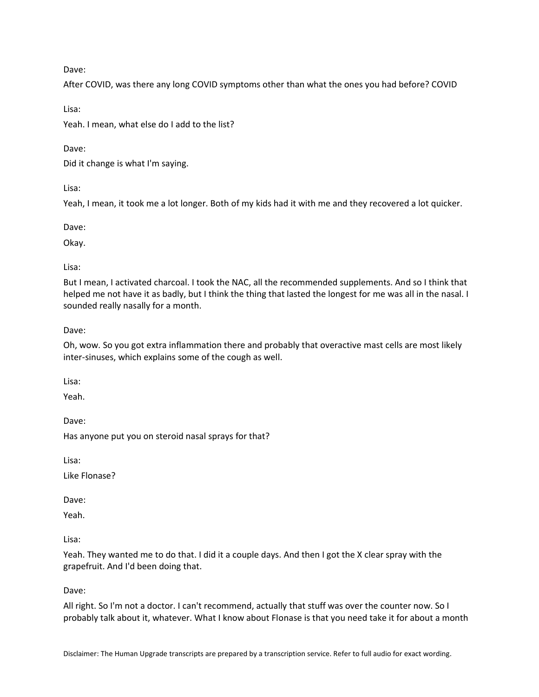Dave:

After COVID, was there any long COVID symptoms other than what the ones you had before? COVID

Lisa:

Yeah. I mean, what else do I add to the list?

Dave:

Did it change is what I'm saying.

Lisa:

Yeah, I mean, it took me a lot longer. Both of my kids had it with me and they recovered a lot quicker.

Dave:

Okay.

Lisa:

But I mean, I activated charcoal. I took the NAC, all the recommended supplements. And so I think that helped me not have it as badly, but I think the thing that lasted the longest for me was all in the nasal. I sounded really nasally for a month.

Dave:

Oh, wow. So you got extra inflammation there and probably that overactive mast cells are most likely inter-sinuses, which explains some of the cough as well.

Lisa:

Yeah.

Dave:

Has anyone put you on steroid nasal sprays for that?

Lisa:

Like Flonase?

Dave:

Yeah.

Lisa:

Yeah. They wanted me to do that. I did it a couple days. And then I got the X clear spray with the grapefruit. And I'd been doing that.

Dave:

All right. So I'm not a doctor. I can't recommend, actually that stuff was over the counter now. So I probably talk about it, whatever. What I know about Flonase is that you need take it for about a month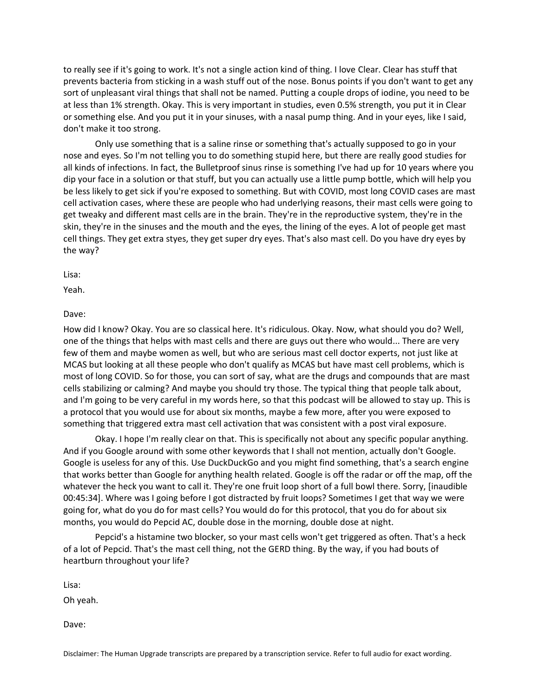to really see if it's going to work. It's not a single action kind of thing. I love Clear. Clear has stuff that prevents bacteria from sticking in a wash stuff out of the nose. Bonus points if you don't want to get any sort of unpleasant viral things that shall not be named. Putting a couple drops of iodine, you need to be at less than 1% strength. Okay. This is very important in studies, even 0.5% strength, you put it in Clear or something else. And you put it in your sinuses, with a nasal pump thing. And in your eyes, like I said, don't make it too strong.

Only use something that is a saline rinse or something that's actually supposed to go in your nose and eyes. So I'm not telling you to do something stupid here, but there are really good studies for all kinds of infections. In fact, the Bulletproof sinus rinse is something I've had up for 10 years where you dip your face in a solution or that stuff, but you can actually use a little pump bottle, which will help you be less likely to get sick if you're exposed to something. But with COVID, most long COVID cases are mast cell activation cases, where these are people who had underlying reasons, their mast cells were going to get tweaky and different mast cells are in the brain. They're in the reproductive system, they're in the skin, they're in the sinuses and the mouth and the eyes, the lining of the eyes. A lot of people get mast cell things. They get extra styes, they get super dry eyes. That's also mast cell. Do you have dry eyes by the way?

#### Lisa:

Yeah.

## Dave:

How did I know? Okay. You are so classical here. It's ridiculous. Okay. Now, what should you do? Well, one of the things that helps with mast cells and there are guys out there who would... There are very few of them and maybe women as well, but who are serious mast cell doctor experts, not just like at MCAS but looking at all these people who don't qualify as MCAS but have mast cell problems, which is most of long COVID. So for those, you can sort of say, what are the drugs and compounds that are mast cells stabilizing or calming? And maybe you should try those. The typical thing that people talk about, and I'm going to be very careful in my words here, so that this podcast will be allowed to stay up. This is a protocol that you would use for about six months, maybe a few more, after you were exposed to something that triggered extra mast cell activation that was consistent with a post viral exposure.

Okay. I hope I'm really clear on that. This is specifically not about any specific popular anything. And if you Google around with some other keywords that I shall not mention, actually don't Google. Google is useless for any of this. Use DuckDuckGo and you might find something, that's a search engine that works better than Google for anything health related. Google is off the radar or off the map, off the whatever the heck you want to call it. They're one fruit loop short of a full bowl there. Sorry, [inaudible 00:45:34]. Where was I going before I got distracted by fruit loops? Sometimes I get that way we were going for, what do you do for mast cells? You would do for this protocol, that you do for about six months, you would do Pepcid AC, double dose in the morning, double dose at night.

Pepcid's a histamine two blocker, so your mast cells won't get triggered as often. That's a heck of a lot of Pepcid. That's the mast cell thing, not the GERD thing. By the way, if you had bouts of heartburn throughout your life?

Lisa:

Oh yeah.

Dave: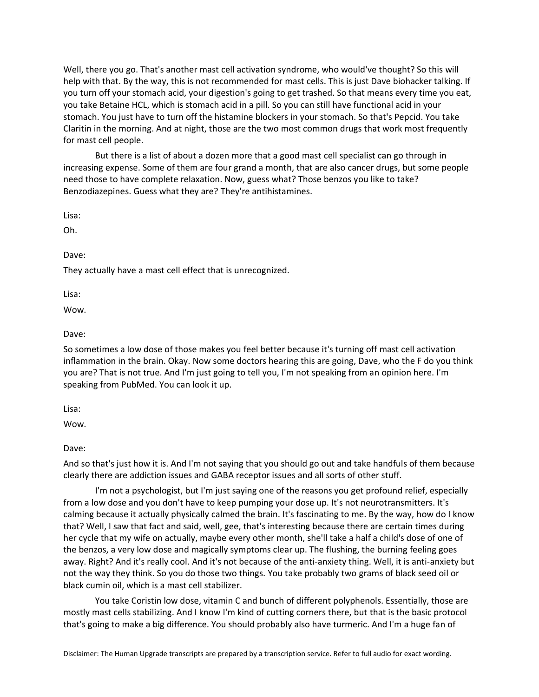Well, there you go. That's another mast cell activation syndrome, who would've thought? So this will help with that. By the way, this is not recommended for mast cells. This is just Dave biohacker talking. If you turn off your stomach acid, your digestion's going to get trashed. So that means every time you eat, you take Betaine HCL, which is stomach acid in a pill. So you can still have functional acid in your stomach. You just have to turn off the histamine blockers in your stomach. So that's Pepcid. You take Claritin in the morning. And at night, those are the two most common drugs that work most frequently for mast cell people.

But there is a list of about a dozen more that a good mast cell specialist can go through in increasing expense. Some of them are four grand a month, that are also cancer drugs, but some people need those to have complete relaxation. Now, guess what? Those benzos you like to take? Benzodiazepines. Guess what they are? They're antihistamines.

Lisa:

Oh.

Dave:

They actually have a mast cell effect that is unrecognized.

Lisa:

Wow.

Dave:

So sometimes a low dose of those makes you feel better because it's turning off mast cell activation inflammation in the brain. Okay. Now some doctors hearing this are going, Dave, who the F do you think you are? That is not true. And I'm just going to tell you, I'm not speaking from an opinion here. I'm speaking from PubMed. You can look it up.

Lisa:

Wow.

Dave:

And so that's just how it is. And I'm not saying that you should go out and take handfuls of them because clearly there are addiction issues and GABA receptor issues and all sorts of other stuff.

I'm not a psychologist, but I'm just saying one of the reasons you get profound relief, especially from a low dose and you don't have to keep pumping your dose up. It's not neurotransmitters. It's calming because it actually physically calmed the brain. It's fascinating to me. By the way, how do I know that? Well, I saw that fact and said, well, gee, that's interesting because there are certain times during her cycle that my wife on actually, maybe every other month, she'll take a half a child's dose of one of the benzos, a very low dose and magically symptoms clear up. The flushing, the burning feeling goes away. Right? And it's really cool. And it's not because of the anti-anxiety thing. Well, it is anti-anxiety but not the way they think. So you do those two things. You take probably two grams of black seed oil or black cumin oil, which is a mast cell stabilizer.

You take Coristin low dose, vitamin C and bunch of different polyphenols. Essentially, those are mostly mast cells stabilizing. And I know I'm kind of cutting corners there, but that is the basic protocol that's going to make a big difference. You should probably also have turmeric. And I'm a huge fan of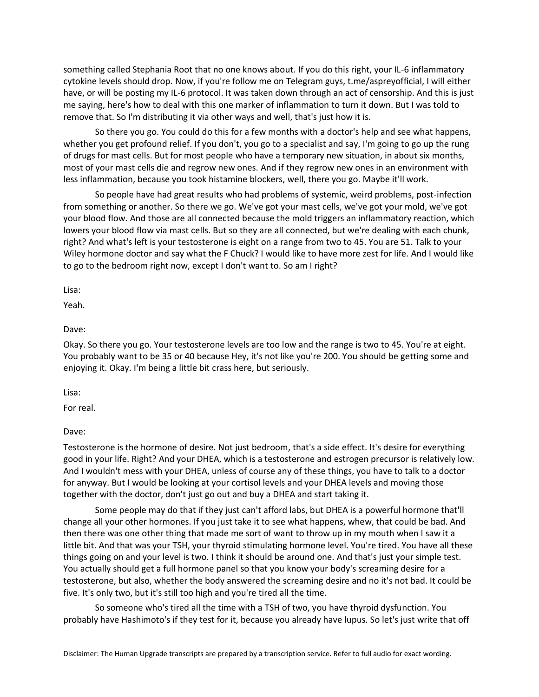something called Stephania Root that no one knows about. If you do this right, your IL-6 inflammatory cytokine levels should drop. Now, if you're follow me on Telegram guys, t.me/aspreyofficial, I will either have, or will be posting my IL-6 protocol. It was taken down through an act of censorship. And this is just me saying, here's how to deal with this one marker of inflammation to turn it down. But I was told to remove that. So I'm distributing it via other ways and well, that's just how it is.

So there you go. You could do this for a few months with a doctor's help and see what happens, whether you get profound relief. If you don't, you go to a specialist and say, I'm going to go up the rung of drugs for mast cells. But for most people who have a temporary new situation, in about six months, most of your mast cells die and regrow new ones. And if they regrow new ones in an environment with less inflammation, because you took histamine blockers, well, there you go. Maybe it'll work.

So people have had great results who had problems of systemic, weird problems, post-infection from something or another. So there we go. We've got your mast cells, we've got your mold, we've got your blood flow. And those are all connected because the mold triggers an inflammatory reaction, which lowers your blood flow via mast cells. But so they are all connected, but we're dealing with each chunk, right? And what's left is your testosterone is eight on a range from two to 45. You are 51. Talk to your Wiley hormone doctor and say what the F Chuck? I would like to have more zest for life. And I would like to go to the bedroom right now, except I don't want to. So am I right?

Lisa:

Yeah.

Dave:

Okay. So there you go. Your testosterone levels are too low and the range is two to 45. You're at eight. You probably want to be 35 or 40 because Hey, it's not like you're 200. You should be getting some and enjoying it. Okay. I'm being a little bit crass here, but seriously.

Lisa:

For real.

Dave:

Testosterone is the hormone of desire. Not just bedroom, that's a side effect. It's desire for everything good in your life. Right? And your DHEA, which is a testosterone and estrogen precursor is relatively low. And I wouldn't mess with your DHEA, unless of course any of these things, you have to talk to a doctor for anyway. But I would be looking at your cortisol levels and your DHEA levels and moving those together with the doctor, don't just go out and buy a DHEA and start taking it.

Some people may do that if they just can't afford labs, but DHEA is a powerful hormone that'll change all your other hormones. If you just take it to see what happens, whew, that could be bad. And then there was one other thing that made me sort of want to throw up in my mouth when I saw it a little bit. And that was your TSH, your thyroid stimulating hormone level. You're tired. You have all these things going on and your level is two. I think it should be around one. And that's just your simple test. You actually should get a full hormone panel so that you know your body's screaming desire for a testosterone, but also, whether the body answered the screaming desire and no it's not bad. It could be five. It's only two, but it's still too high and you're tired all the time.

So someone who's tired all the time with a TSH of two, you have thyroid dysfunction. You probably have Hashimoto's if they test for it, because you already have lupus. So let's just write that off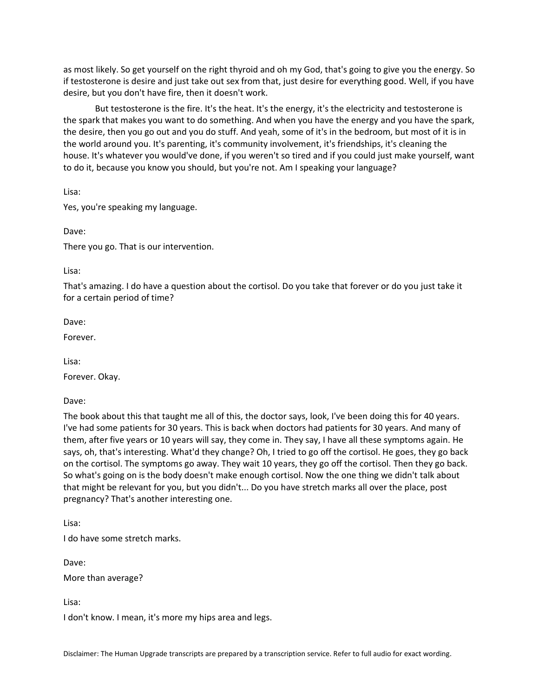as most likely. So get yourself on the right thyroid and oh my God, that's going to give you the energy. So if testosterone is desire and just take out sex from that, just desire for everything good. Well, if you have desire, but you don't have fire, then it doesn't work.

But testosterone is the fire. It's the heat. It's the energy, it's the electricity and testosterone is the spark that makes you want to do something. And when you have the energy and you have the spark, the desire, then you go out and you do stuff. And yeah, some of it's in the bedroom, but most of it is in the world around you. It's parenting, it's community involvement, it's friendships, it's cleaning the house. It's whatever you would've done, if you weren't so tired and if you could just make yourself, want to do it, because you know you should, but you're not. Am I speaking your language?

Lisa:

Yes, you're speaking my language.

Dave:

There you go. That is our intervention.

Lisa:

That's amazing. I do have a question about the cortisol. Do you take that forever or do you just take it for a certain period of time?

Dave:

Forever.

Lisa:

Forever. Okay.

Dave:

The book about this that taught me all of this, the doctor says, look, I've been doing this for 40 years. I've had some patients for 30 years. This is back when doctors had patients for 30 years. And many of them, after five years or 10 years will say, they come in. They say, I have all these symptoms again. He says, oh, that's interesting. What'd they change? Oh, I tried to go off the cortisol. He goes, they go back on the cortisol. The symptoms go away. They wait 10 years, they go off the cortisol. Then they go back. So what's going on is the body doesn't make enough cortisol. Now the one thing we didn't talk about that might be relevant for you, but you didn't... Do you have stretch marks all over the place, post pregnancy? That's another interesting one.

Lisa:

I do have some stretch marks.

Dave:

More than average?

Lisa:

I don't know. I mean, it's more my hips area and legs.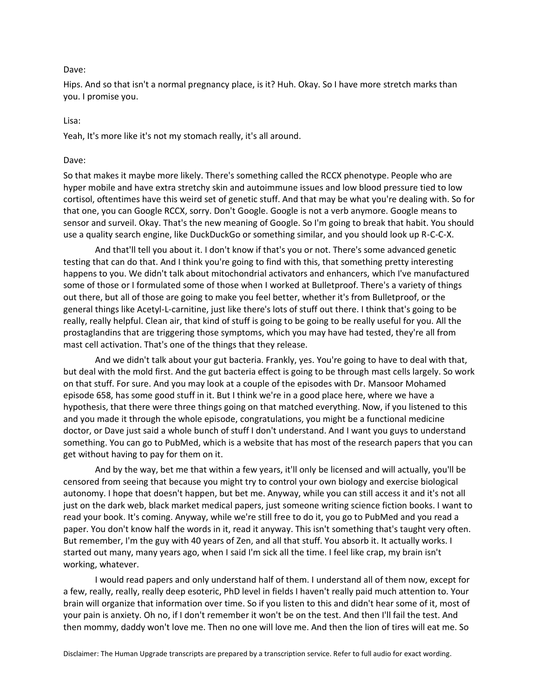#### Dave:

Hips. And so that isn't a normal pregnancy place, is it? Huh. Okay. So I have more stretch marks than you. I promise you.

#### Lisa:

Yeah, It's more like it's not my stomach really, it's all around.

#### Dave:

So that makes it maybe more likely. There's something called the RCCX phenotype. People who are hyper mobile and have extra stretchy skin and autoimmune issues and low blood pressure tied to low cortisol, oftentimes have this weird set of genetic stuff. And that may be what you're dealing with. So for that one, you can Google RCCX, sorry. Don't Google. Google is not a verb anymore. Google means to sensor and surveil. Okay. That's the new meaning of Google. So I'm going to break that habit. You should use a quality search engine, like DuckDuckGo or something similar, and you should look up R-C-C-X.

And that'll tell you about it. I don't know if that's you or not. There's some advanced genetic testing that can do that. And I think you're going to find with this, that something pretty interesting happens to you. We didn't talk about mitochondrial activators and enhancers, which I've manufactured some of those or I formulated some of those when I worked at Bulletproof. There's a variety of things out there, but all of those are going to make you feel better, whether it's from Bulletproof, or the general things like Acetyl-L-carnitine, just like there's lots of stuff out there. I think that's going to be really, really helpful. Clean air, that kind of stuff is going to be going to be really useful for you. All the prostaglandins that are triggering those symptoms, which you may have had tested, they're all from mast cell activation. That's one of the things that they release.

And we didn't talk about your gut bacteria. Frankly, yes. You're going to have to deal with that, but deal with the mold first. And the gut bacteria effect is going to be through mast cells largely. So work on that stuff. For sure. And you may look at a couple of the episodes with Dr. Mansoor Mohamed episode 658, has some good stuff in it. But I think we're in a good place here, where we have a hypothesis, that there were three things going on that matched everything. Now, if you listened to this and you made it through the whole episode, congratulations, you might be a functional medicine doctor, or Dave just said a whole bunch of stuff I don't understand. And I want you guys to understand something. You can go to PubMed, which is a website that has most of the research papers that you can get without having to pay for them on it.

And by the way, bet me that within a few years, it'll only be licensed and will actually, you'll be censored from seeing that because you might try to control your own biology and exercise biological autonomy. I hope that doesn't happen, but bet me. Anyway, while you can still access it and it's not all just on the dark web, black market medical papers, just someone writing science fiction books. I want to read your book. It's coming. Anyway, while we're still free to do it, you go to PubMed and you read a paper. You don't know half the words in it, read it anyway. This isn't something that's taught very often. But remember, I'm the guy with 40 years of Zen, and all that stuff. You absorb it. It actually works. I started out many, many years ago, when I said I'm sick all the time. I feel like crap, my brain isn't working, whatever.

I would read papers and only understand half of them. I understand all of them now, except for a few, really, really, really deep esoteric, PhD level in fields I haven't really paid much attention to. Your brain will organize that information over time. So if you listen to this and didn't hear some of it, most of your pain is anxiety. Oh no, if I don't remember it won't be on the test. And then I'll fail the test. And then mommy, daddy won't love me. Then no one will love me. And then the lion of tires will eat me. So